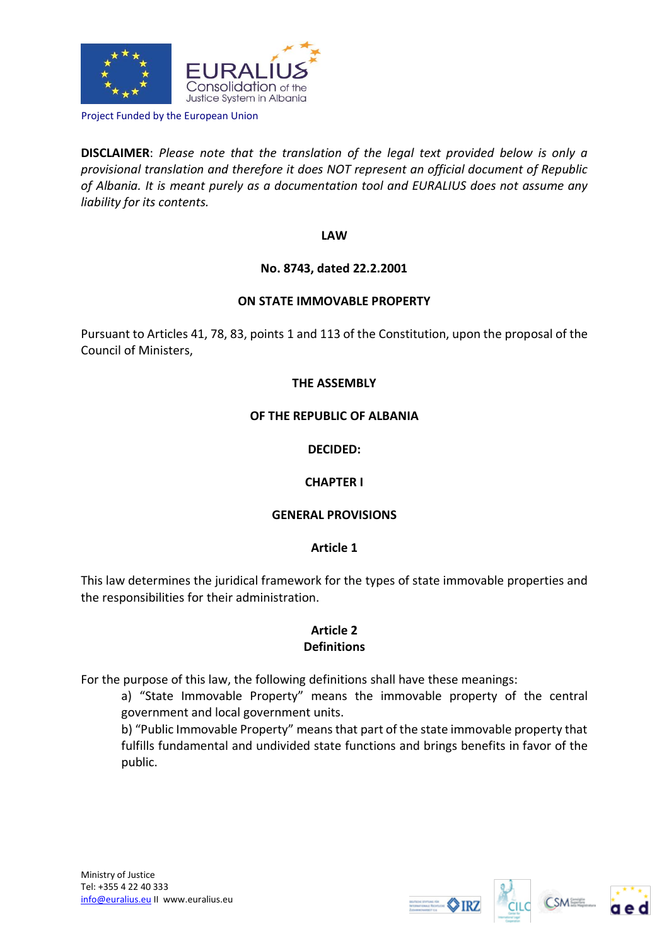

Project Funded by the European Union

**DISCLAIMER**: *Please note that the translation of the legal text provided below is only a provisional translation and therefore it does NOT represent an official document of Republic of Albania. It is meant purely as a documentation tool and EURALIUS does not assume any liability for its contents.*

### **LAW**

# **No. 8743, dated 22.2.2001**

### **ON STATE IMMOVABLE PROPERTY**

Pursuant to Articles 41, 78, 83, points 1 and 113 of the Constitution, upon the proposal of the Council of Ministers,

# **THE ASSEMBLY**

### **OF THE REPUBLIC OF ALBANIA**

### **DECIDED:**

# **CHAPTER I**

# **GENERAL PROVISIONS**

#### **Article 1**

This law determines the juridical framework for the types of state immovable properties and the responsibilities for their administration.

### **Article 2 Definitions**

For the purpose of this law, the following definitions shall have these meanings:

a) "State Immovable Property" means the immovable property of the central government and local government units.

b) "Public Immovable Property" means that part of the state immovable property that fulfills fundamental and undivided state functions and brings benefits in favor of the public.







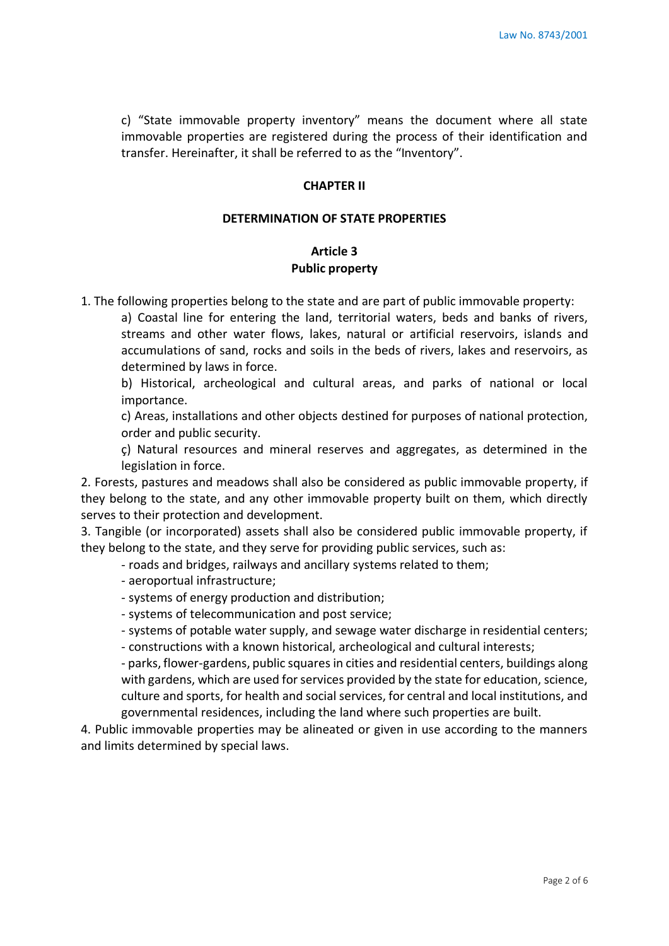c) "State immovable property inventory" means the document where all state immovable properties are registered during the process of their identification and transfer. Hereinafter, it shall be referred to as the "Inventory".

#### **CHAPTER II**

# **DETERMINATION OF STATE PROPERTIES**

# **Article 3 Public property**

1. The following properties belong to the state and are part of public immovable property:

a) Coastal line for entering the land, territorial waters, beds and banks of rivers, streams and other water flows, lakes, natural or artificial reservoirs, islands and accumulations of sand, rocks and soils in the beds of rivers, lakes and reservoirs, as determined by laws in force.

b) Historical, archeological and cultural areas, and parks of national or local importance.

c) Areas, installations and other objects destined for purposes of national protection, order and public security.

ç) Natural resources and mineral reserves and aggregates, as determined in the legislation in force.

2. Forests, pastures and meadows shall also be considered as public immovable property, if they belong to the state, and any other immovable property built on them, which directly serves to their protection and development.

3. Tangible (or incorporated) assets shall also be considered public immovable property, if they belong to the state, and they serve for providing public services, such as:

- roads and bridges, railways and ancillary systems related to them;

- aeroportual infrastructure;
- systems of energy production and distribution;
- systems of telecommunication and post service;

- systems of potable water supply, and sewage water discharge in residential centers;

- constructions with a known historical, archeological and cultural interests;

- parks, flower-gardens, public squares in cities and residential centers, buildings along with gardens, which are used for services provided by the state for education, science, culture and sports, for health and social services, for central and local institutions, and governmental residences, including the land where such properties are built.

4. Public immovable properties may be alineated or given in use according to the manners and limits determined by special laws.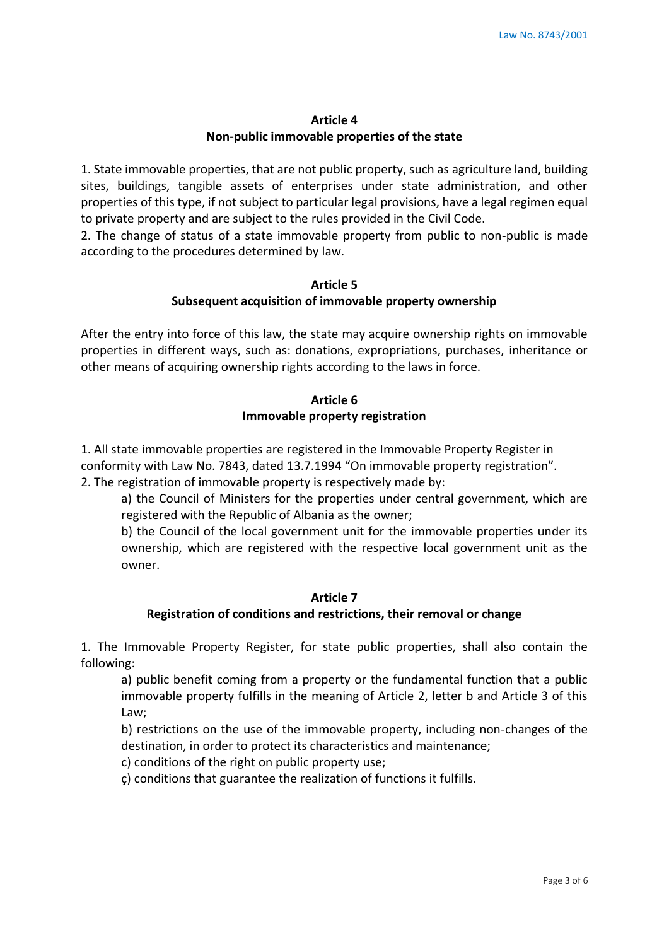# **Article 4 Non-public immovable properties of the state**

1. State immovable properties, that are not public property, such as agriculture land, building sites, buildings, tangible assets of enterprises under state administration, and other properties of this type, if not subject to particular legal provisions, have a legal regimen equal to private property and are subject to the rules provided in the Civil Code.

2. The change of status of a state immovable property from public to non-public is made according to the procedures determined by law.

### **Article 5**

### **Subsequent acquisition of immovable property ownership**

After the entry into force of this law, the state may acquire ownership rights on immovable properties in different ways, such as: donations, expropriations, purchases, inheritance or other means of acquiring ownership rights according to the laws in force.

# **Article 6 Immovable property registration**

1. All state immovable properties are registered in the Immovable Property Register in conformity with Law No. 7843, dated 13.7.1994 "On immovable property registration". 2. The registration of immovable property is respectively made by:

a) the Council of Ministers for the properties under central government, which are registered with the Republic of Albania as the owner;

b) the Council of the local government unit for the immovable properties under its ownership, which are registered with the respective local government unit as the owner.

# **Article 7**

# **Registration of conditions and restrictions, their removal or change**

1. The Immovable Property Register, for state public properties, shall also contain the following:

a) public benefit coming from a property or the fundamental function that a public immovable property fulfills in the meaning of Article 2, letter b and Article 3 of this Law;

b) restrictions on the use of the immovable property, including non-changes of the destination, in order to protect its characteristics and maintenance;

c) conditions of the right on public property use;

ç) conditions that guarantee the realization of functions it fulfills.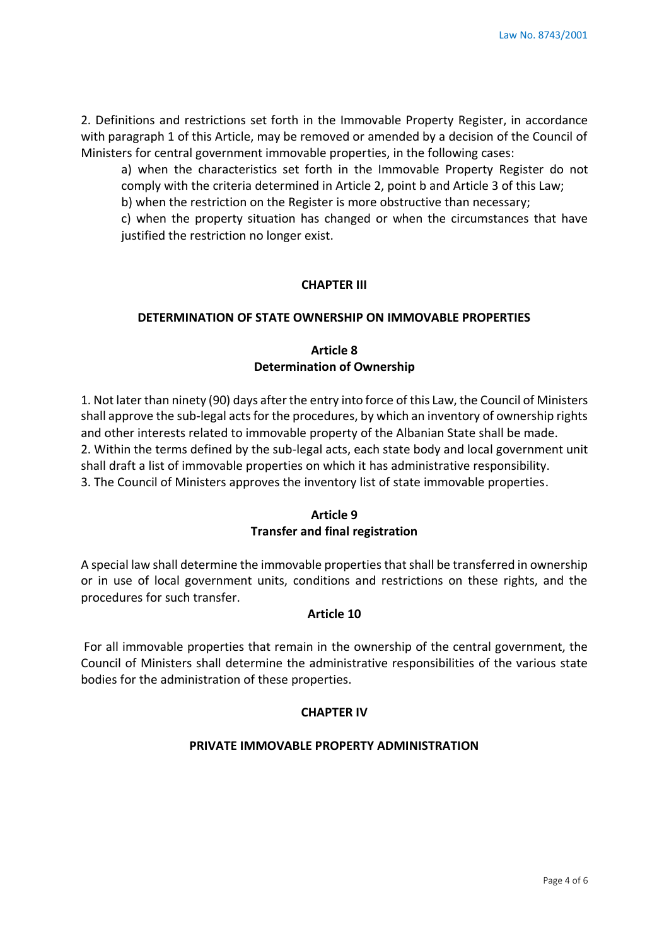2. Definitions and restrictions set forth in the Immovable Property Register, in accordance with paragraph 1 of this Article, may be removed or amended by a decision of the Council of Ministers for central government immovable properties, in the following cases:

a) when the characteristics set forth in the Immovable Property Register do not comply with the criteria determined in Article 2, point b and Article 3 of this Law;

b) when the restriction on the Register is more obstructive than necessary;

c) when the property situation has changed or when the circumstances that have justified the restriction no longer exist.

# **CHAPTER III**

# **DETERMINATION OF STATE OWNERSHIP ON IMMOVABLE PROPERTIES**

# **Article 8 Determination of Ownership**

1. Not later than ninety (90) days after the entry into force of this Law, the Council of Ministers shall approve the sub-legal acts for the procedures, by which an inventory of ownership rights and other interests related to immovable property of the Albanian State shall be made. 2. Within the terms defined by the sub-legal acts, each state body and local government unit shall draft a list of immovable properties on which it has administrative responsibility. 3. The Council of Ministers approves the inventory list of state immovable properties.

# **Article 9 Transfer and final registration**

A special law shall determine the immovable properties that shall be transferred in ownership or in use of local government units, conditions and restrictions on these rights, and the procedures for such transfer.

# **Article 10**

For all immovable properties that remain in the ownership of the central government, the Council of Ministers shall determine the administrative responsibilities of the various state bodies for the administration of these properties.

# **CHAPTER IV**

# **PRIVATE IMMOVABLE PROPERTY ADMINISTRATION**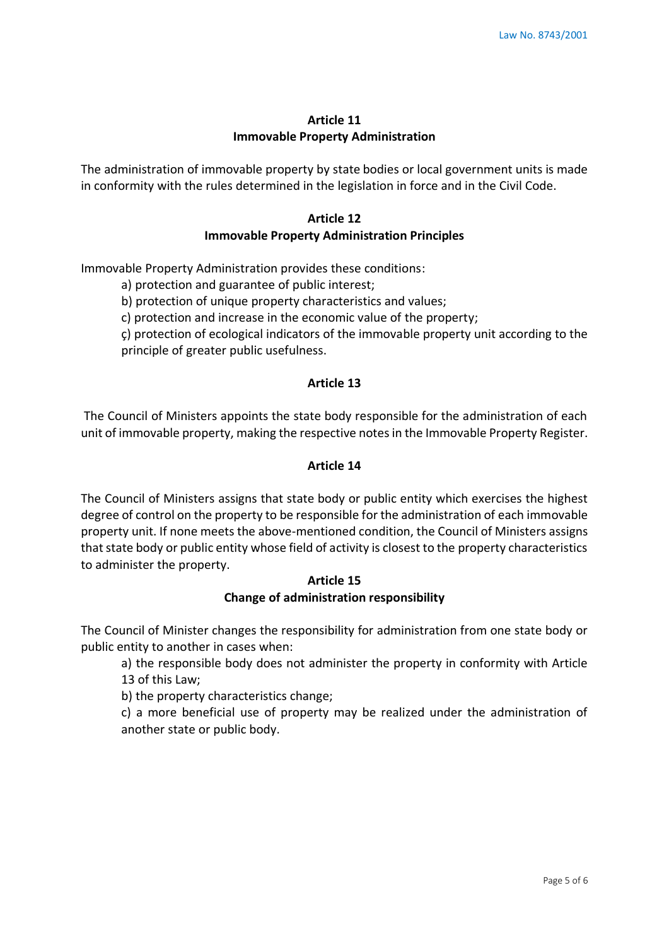### **Article 11 Immovable Property Administration**

The administration of immovable property by state bodies or local government units is made in conformity with the rules determined in the legislation in force and in the Civil Code.

# **Article 12 Immovable Property Administration Principles**

Immovable Property Administration provides these conditions:

a) protection and guarantee of public interest;

b) protection of unique property characteristics and values;

c) protection and increase in the economic value of the property;

ç) protection of ecological indicators of the immovable property unit according to the principle of greater public usefulness.

### **Article 13**

The Council of Ministers appoints the state body responsible for the administration of each unit of immovable property, making the respective notes in the Immovable Property Register.

### **Article 14**

The Council of Ministers assigns that state body or public entity which exercises the highest degree of control on the property to be responsible for the administration of each immovable property unit. If none meets the above-mentioned condition, the Council of Ministers assigns that state body or public entity whose field of activity is closest to the property characteristics to administer the property.

### **Article 15 Change of administration responsibility**

The Council of Minister changes the responsibility for administration from one state body or public entity to another in cases when:

a) the responsible body does not administer the property in conformity with Article 13 of this Law;

b) the property characteristics change;

c) a more beneficial use of property may be realized under the administration of another state or public body.